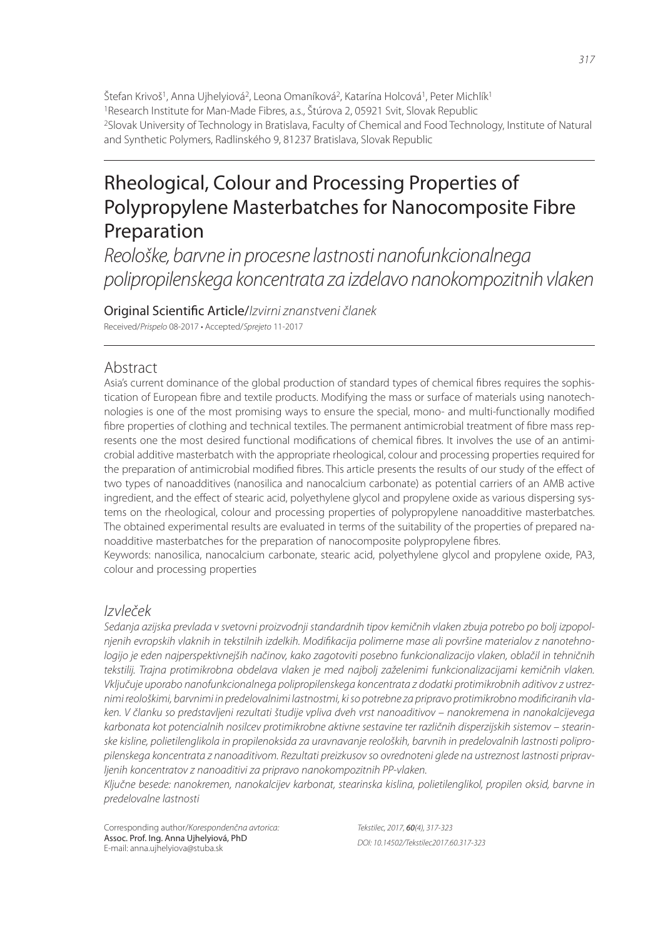Štefan Krivoš<sup>1</sup>, Anna Ujhelyiová<sup>2</sup>, Leona Omaníková<sup>2</sup>, Katarína Holcová<sup>1</sup>, Peter Michlík<sup>1</sup> <sup>1</sup>Research Institute for Man-Made Fibres, a.s., Štúrova 2, 05921 Svit, Slovak Republic <sup>2</sup>Slovak University of Technology in Bratislava, Faculty of Chemical and Food Technology, Institute of Natural and Synthetic Polymers, Radlinského 9, 81237 Bratislava, Slovak Republic

# Rheological, Colour and Processing Properties of Polypropylene Masterbatches for Nanocomposite Fibre Preparation

*Reološke, barvne in procesne lastnosti nanofunkcionalnega polipropilenskega koncentrata za izdelavo nanokompozitnih vlaken*

Original Scienti! c Article/*Izvirni znanstveni članek* Received/*Prispelo* 08-2017 • Accepted/*Sprejeto* 11-2017

## Abstract

Asia's current dominance of the global production of standard types of chemical fibres requires the sophistication of European fibre and textile products. Modifying the mass or surface of materials using nanotechnologies is one of the most promising ways to ensure the special, mono- and multi-functionally modified fibre properties of clothing and technical textiles. The permanent antimicrobial treatment of fibre mass represents one the most desired functional modifications of chemical fibres. It involves the use of an antimicrobial additive masterbatch with the appropriate rheological, colour and processing properties required for the preparation of antimicrobial modified fibres. This article presents the results of our study of the effect of two types of nanoadditives (nanosilica and nanocalcium carbonate) as potential carriers of an AMB active ingredient, and the effect of stearic acid, polyethylene glycol and propylene oxide as various dispersing systems on the rheological, colour and processing properties of polypropylene nanoadditive masterbatches. The obtained experimental results are evaluated in terms of the suitability of the properties of prepared nanoadditive masterbatches for the preparation of nanocomposite polypropylene fibres.

Keywords: nanosilica, nanocalcium carbonate, stearic acid, polyethylene glycol and propylene oxide, PA3, colour and processing properties

## *Izvleček*

*Sedanja azijska prevlada v svetovni proizvodnji standardnih tipov kemičnih vlaken zbuja potrebo po bolj izpopolnjenih evropskih vlaknih in tekstilnih izdelkih. Modifi kacija polimerne mase ali površine materialov z nanotehnologijo je eden najperspektivnejših načinov, kako zagotoviti posebno funkcionalizacijo vlaken, oblačil in tehničnih tekstilij. Trajna protimikrobna obdelava vlaken je med najbolj zaželenimi funkcionalizacijami kemičnih vlaken. Vključuje uporabo nanofunkcionalnega polipropilenskega koncentrata z dodatki protimikrobnih aditivov z ustreznimi reološkimi, barvnimi in predelovalnimi lastnostmi, ki so potrebne za pripravo protimikrobno modifi ciranih vlaken. V članku so predstavljeni rezultati študije vpliva dveh vrst nanoaditivov – nanokremena in nanokalcijevega karbonata kot potencialnih nosilcev protimikrobne aktivne sestavine ter različnih disperzijskih sistemov – stearinske kisline, polietilenglikola in propilenoksida za uravnavanje reoloških, barvnih in predelovalnih lastnosti polipropilenskega koncentrata z nanoaditivom. Rezultati preizkusov so ovrednoteni glede na ustreznost lastnosti pripravljenih koncentratov z nanoaditivi za pripravo nanokompozitnih PP-vlaken.*

*Ključne besede: nanokremen, nanokalcijev karbonat, stearinska kislina, polietilenglikol, propilen oksid, barvne in predelovalne lastnosti*

Corresponding author/*Korespondenčna avtorica:* Assoc. Prof. Ing. Anna Ujhelyiová, PhD E-mail: anna.ujhelyiova@stuba.sk

*Tekstilec, 2017,* 60*(4), 317-323 DOI: 10.14502/Tekstilec2017.60.317-323*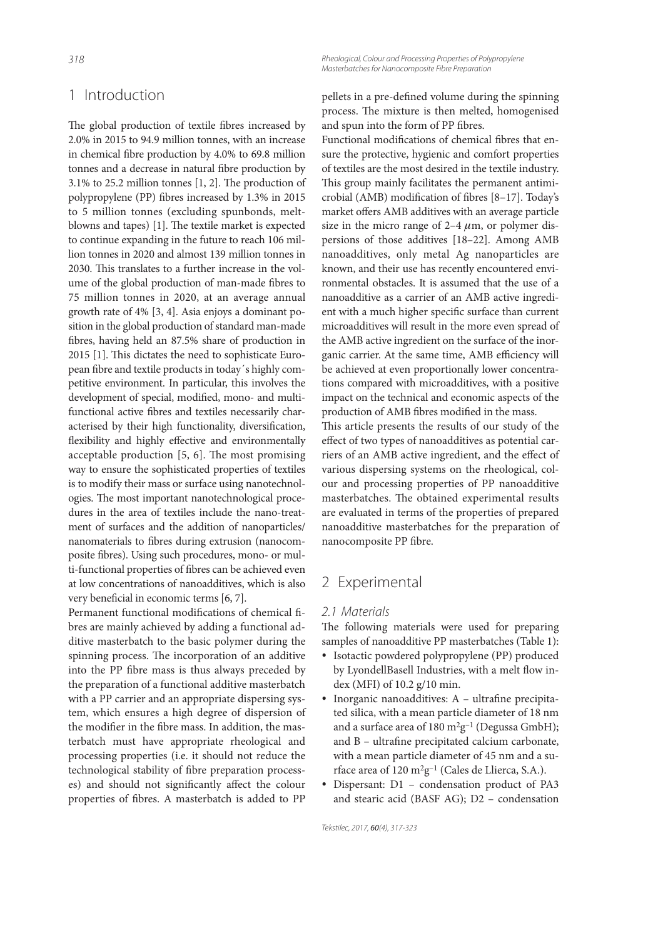## 1 Introduction

The global production of textile fibres increased by 2.0% in 2015 to 94.9 million tonnes, with an increase in chemical fibre production by 4.0% to 69.8 million tonnes and a decrease in natural fibre production by  $3.1\%$  to 25.2 million tonnes [1, 2]. The production of polypropylene (PP) fibres increased by 1.3% in 2015 to 5 million tonnes (excluding spunbonds, meltblowns and tapes) [1]. The textile market is expected to continue expanding in the future to reach 106 million tonnes in 2020 and almost 139 million tonnes in 2030. This translates to a further increase in the volume of the global production of man-made fibres to 75 million tonnes in 2020, at an average annual growth rate of 4% [3, 4]. Asia enjoys a dominant position in the global production of standard man-made bres, having held an 87.5% share of production in 2015 [1]. This dictates the need to sophisticate European fibre and textile products in today's highly competitive environment. In particular, this involves the development of special, modified, mono- and multifunctional active fibres and textiles necessarily characterised by their high functionality, diversification, flexibility and highly effective and environmentally acceptable production  $[5, 6]$ . The most promising way to ensure the sophisticated properties of textiles is to modify their mass or surface using nanotechnologies. The most important nanotechnological procedures in the area of textiles include the nano-treatment of surfaces and the addition of nanoparticles/ nanomaterials to fibres during extrusion (nanocomposite bres). Using such procedures, mono- or multi-functional properties of fibres can be achieved even at low concentrations of nanoadditives, which is also very beneficial in economic terms [6, 7].

Permanent functional modifications of chemical fibres are mainly achieved by adding a functional additive masterbatch to the basic polymer during the spinning process. The incorporation of an additive into the PP fibre mass is thus always preceded by the preparation of a functional additive masterbatch with a PP carrier and an appropriate dispersing system, which ensures a high degree of dispersion of the modifier in the fibre mass. In addition, the masterbatch must have appropriate rheological and processing properties (i.e. it should not reduce the technological stability of fibre preparation processes) and should not significantly affect the colour properties of fibres. A masterbatch is added to PP

*318 Rheological, Colour and Processing Properties of Polypropylene Masterbatches for Nanocomposite Fibre Preparation*

> pellets in a pre-defined volume during the spinning process. The mixture is then melted, homogenised and spun into the form of PP fibres.

> Functional modifications of chemical fibres that ensure the protective, hygienic and comfort properties of textiles are the most desired in the textile industry. This group mainly facilitates the permanent antimicrobial (AMB) modification of fibres  $[8-17]$ . Today's market offers AMB additives with an average particle size in the micro range of  $2-4 \mu m$ , or polymer dispersions of those additives [18–22]. Among AMB nanoadditives, only metal Ag nanoparticles are known, and their use has recently encountered environmental obstacles. It is assumed that the use of a nanoadditive as a carrier of an AMB active ingredient with a much higher specific surface than current microadditives will result in the more even spread of the AMB active ingredient on the surface of the inorganic carrier. At the same time, AMB efficiency will be achieved at even proportionally lower concentrations compared with microadditives, with a positive impact on the technical and economic aspects of the production of AMB fibres modified in the mass.

> This article presents the results of our study of the effect of two types of nanoadditives as potential carriers of an AMB active ingredient, and the effect of various dispersing systems on the rheological, colour and processing properties of PP nanoadditive masterbatches. The obtained experimental results are evaluated in terms of the properties of prepared nanoadditive masterbatches for the preparation of nanocomposite PP fibre.

## 2 Experimental

#### *2.1 Materials*

The following materials were used for preparing samples of nanoadditive PP masterbatches (Table 1):

- Isotactic powdered polypropylene (PP) produced by LyondellBasell Industries, with a melt flow index (MFI) of 10.2 g/10 min.
- Inorganic nanoadditives:  $A -$ ultrafine precipitated silica, with a mean particle diameter of 18 nm and a surface area of  $180 \text{ m}^2\text{g}^{-1}$  (Degussa GmbH); and  $B$  – ultrafine precipitated calcium carbonate, with a mean particle diameter of 45 nm and a surface area of 120  $m^2g^{-1}$  (Cales de Llierca, S.A.).
- Dispersant: D1 condensation product of PA3 and stearic acid (BASF AG); D2 – condensation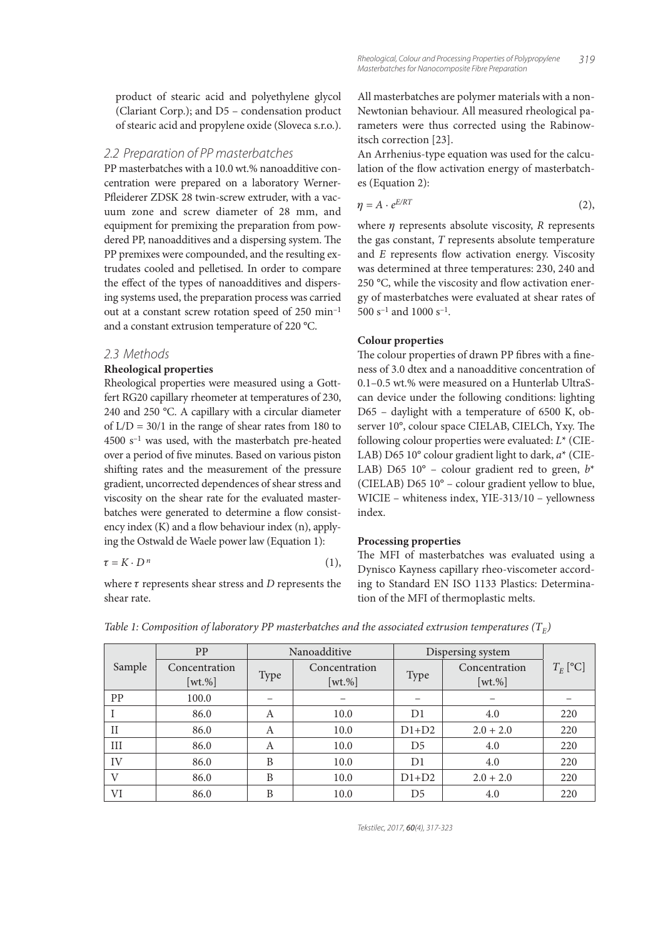#### *2.2 Preparation of PP masterbatches*

PP masterbatches with a 10.0 wt.% nanoadditive concentration were prepared on a laboratory Werner-Pfleiderer ZDSK 28 twin-screw extruder, with a vacuum zone and screw diameter of 28 mm, and equipment for premixing the preparation from powdered PP, nanoadditives and a dispersing system. The PP premixes were compounded, and the resulting extrudates cooled and pelletised. In order to compare the effect of the types of nanoadditives and dispersing systems used, the preparation process was carried out at a constant screw rotation speed of 250 min–1 and a constant extrusion temperature of 220 °C.

#### *2.3 Methods*

#### **Rheological properties**

Rheological properties were measured using a Gottfert RG20 capillary rheometer at temperatures of 230, 240 and 250 °C. A capillary with a circular diameter of  $L/D = 30/1$  in the range of shear rates from 180 to  $4500$  s<sup>-1</sup> was used, with the masterbatch pre-heated over a period of five minutes. Based on various piston shifting rates and the measurement of the pressure gradient, uncorrected dependences of shear stress and viscosity on the shear rate for the evaluated masterbatches were generated to determine a flow consistency index  $(K)$  and a flow behaviour index  $(n)$ , applying the Ostwald de Waele power law (Equation 1):

$$
\tau = K \cdot D^n \tag{1},
$$

where  $\tau$  represents shear stress and  $D$  represents the shear rate.

All masterbatches are polymer materials with a non-Newtonian behaviour. All measured rheological parameters were thus corrected using the Rabinowitsch correction [23].

An Arrhenius-type equation was used for the calculation of the flow activation energy of masterbatches (Equation 2):

$$
\eta = A \cdot e^{E/RT} \tag{2},
$$

where  $\eta$  represents absolute viscosity, R represents the gas constant,  $T$  represents absolute temperature and  $E$  represents flow activation energy. Viscosity was determined at three temperatures: 230, 240 and 250  $\degree$ C, while the viscosity and flow activation energy of masterbatches were evaluated at shear rates of 500 s–1 and 1000 s–1 .

#### **Colour properties**

The colour properties of drawn PP fibres with a fineness of 3.0 dtex and a nanoadditive concentration of 0.1–0.5 wt.% were measured on a Hunterlab UltraScan device under the following conditions: lighting D65 – daylight with a temperature of 6500 K, observer 10°, colour space CIELAB, CIELCh, Yxy. The following colour properties were evaluated:  $L^*$  (CIE-LAB) D65 10 $^{\circ}$  colour gradient light to dark,  $a^*$  (CIE-LAB) D65 10° – colour gradient red to green,  $b^*$ (CIELAB) D65 10° – colour gradient yellow to blue, WICIE – whiteness index, YIE-313/10 – yellowness index.

#### **Processing properties**

The MFI of masterbatches was evaluated using a Dynisco Kayness capillary rheo-viscometer according to Standard EN ISO 1133 Plastics: Determination of the MFI of thermoplastic melts.

| Sample      | PP                          |      | Nanoadditive                | Dispersing system |                             |            |
|-------------|-----------------------------|------|-----------------------------|-------------------|-----------------------------|------------|
|             | Concentration<br>$[wt. \%]$ | Type | Concentration<br>$[wt. \%]$ | <b>Type</b>       | Concentration<br>$[wt. \%]$ | $T_E$ [°C] |
| PP          | 100.0                       | –    | –                           |                   | -                           |            |
|             | 86.0                        | A    | 10.0                        | D <sub>1</sub>    | 4.0                         | 220        |
| $_{\rm II}$ | 86.0                        | A    | 10.0                        | $D1+D2$           | $2.0 + 2.0$                 | 220        |
| III         | 86.0                        | A    | 10.0                        | D <sub>5</sub>    | 4.0                         | 220        |
| IV          | 86.0                        | B    | 10.0                        | D <sub>1</sub>    | 4.0                         | 220        |
| V           | 86.0                        | B    | 10.0                        | $D1+D2$           | $2.0 + 2.0$                 | 220        |
| VI          | 86.0                        | B    | 10.0                        | D <sub>5</sub>    | 4.0                         | 220        |

Table 1: Composition of laboratory PP masterbatches and the associated extrusion temperatures (T<sub>E</sub>)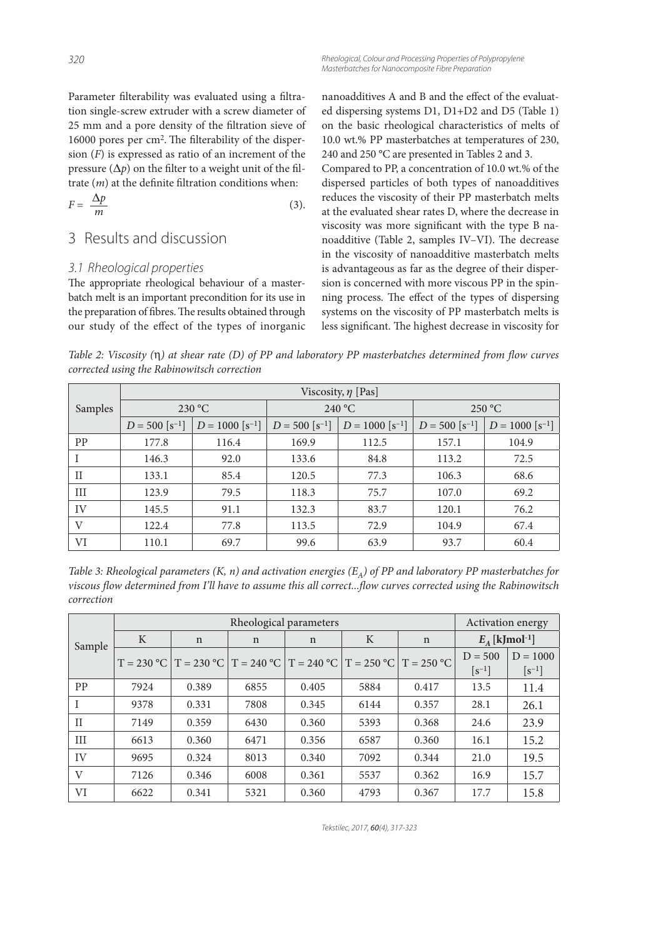*320 Rheological, Colour and Processing Properties of Polypropylene Masterbatches for Nanocomposite Fibre Preparation*

Parameter filterability was evaluated using a filtration single-screw extruder with a screw diameter of 25 mm and a pore density of the filtration sieve of 16000 pores per cm<sup>2</sup>. The filterability of the dispersion  $(F)$  is expressed as ratio of an increment of the pressure ( $\Delta p$ ) on the filter to a weight unit of the filtrate  $(m)$  at the definite filtration conditions when:

$$
F = \frac{\Delta p}{m} \tag{3}
$$

## 3 Results and discussion

### *3.1 Rheological properties*

The appropriate rheological behaviour of a masterbatch melt is an important precondition for its use in the preparation of fibres. The results obtained through our study of the effect of the types of inorganic nanoadditives A and B and the effect of the evaluated dispersing systems D1, D1+D2 and D5 (Table 1) on the basic rheological characteristics of melts of 10.0 wt.% PP masterbatches at temperatures of 230, 240 and 250 °C are presented in Tables 2 and 3.

Compared to PP, a concentration of 10.0 wt.% of the dispersed particles of both types of nanoadditives reduces the viscosity of their PP masterbatch melts at the evaluated shear rates D, where the decrease in viscosity was more significant with the type B nanoadditive (Table 2, samples IV–VI). The decrease in the viscosity of nanoadditive masterbatch melts is advantageous as far as the degree of their dispersion is concerned with more viscous PP in the spinning process. The effect of the types of dispersing systems on the viscosity of PP masterbatch melts is less significant. The highest decrease in viscosity for

Table 2: Viscosity  $(\eta)$  at shear rate (D) of PP and laboratory PP masterbatches determined from flow curves corrected using the Rabinowitsch correction

|          | Viscosity, $\eta$ [Pas]      |                               |                              |                               |                              |                               |  |  |  |
|----------|------------------------------|-------------------------------|------------------------------|-------------------------------|------------------------------|-------------------------------|--|--|--|
| Samples  |                              | 230 °C                        |                              | 240 °C                        | 250 °C                       |                               |  |  |  |
|          | $D = 500$ [s <sup>-1</sup> ] | $D = 1000$ [s <sup>-1</sup> ] | $D = 500$ [s <sup>-1</sup> ] | $D = 1000$ [s <sup>-1</sup> ] | $D = 500$ [s <sup>-1</sup> ] | $D = 1000$ [s <sup>-1</sup> ] |  |  |  |
| PP       | 177.8                        | 116.4                         | 169.9                        | 112.5                         | 157.1                        | 104.9                         |  |  |  |
|          | 146.3                        | 92.0                          | 133.6                        | 84.8                          | 113.2                        | 72.5                          |  |  |  |
| $\rm II$ | 133.1                        | 85.4                          | 120.5                        | 77.3                          | 106.3                        | 68.6                          |  |  |  |
| III      | 123.9                        | 79.5                          | 118.3                        | 75.7                          | 107.0                        | 69.2                          |  |  |  |
| IV       | 145.5                        | 91.1                          | 132.3                        | 83.7                          | 120.1                        | 76.2                          |  |  |  |
| V        | 122.4                        | 77.8                          | 113.5                        | 72.9                          | 104.9                        | 67.4                          |  |  |  |
| VI       | 110.1                        | 69.7                          | 99.6                         | 63.9                          | 93.7                         | 60.4                          |  |  |  |

Table 3: Rheological parameters (K, n) and activation energies (E<sub>A</sub>) of PP and laboratory PP masterbatches for viscous flow determined from I'll have to assume this all correct...flow curves corrected using the Rabinowitsch correction

|              |             | <b>Activation energy</b>                                                 |      |       |      |              |                                     |                                      |
|--------------|-------------|--------------------------------------------------------------------------|------|-------|------|--------------|-------------------------------------|--------------------------------------|
| Sample       | $\mathbf K$ | n                                                                        | n    | n     | K    | $\mathbf n$  | $E_A$ [kJmol <sup>-1</sup> ]        |                                      |
|              |             | $T = 230 °C$   $T = 230 °C$   $T = 240 °C$   $T = 240 °C$   $T = 250 °C$ |      |       |      | $T = 250 °C$ | $D = 500$<br>$\lceil s^{-1} \rceil$ | $D = 1000$<br>$\lceil s^{-1} \rceil$ |
| PP           | 7924        | 0.389                                                                    | 6855 | 0.405 | 5884 | 0.417        | 13.5                                | 11.4                                 |
|              | 9378        | 0.331                                                                    | 7808 | 0.345 | 6144 | 0.357        | 28.1                                | 26.1                                 |
| $\mathbf{H}$ | 7149        | 0.359                                                                    | 6430 | 0.360 | 5393 | 0.368        | 24.6                                | 23.9                                 |
| III          | 6613        | 0.360                                                                    | 6471 | 0.356 | 6587 | 0.360        | 16.1                                | 15.2                                 |
| IV           | 9695        | 0.324                                                                    | 8013 | 0.340 | 7092 | 0.344        | 21.0                                | 19.5                                 |
| V            | 7126        | 0.346                                                                    | 6008 | 0.361 | 5537 | 0.362        | 16.9                                | 15.7                                 |
| VI           | 6622        | 0.341                                                                    | 5321 | 0.360 | 4793 | 0.367        | 17.7                                | 15.8                                 |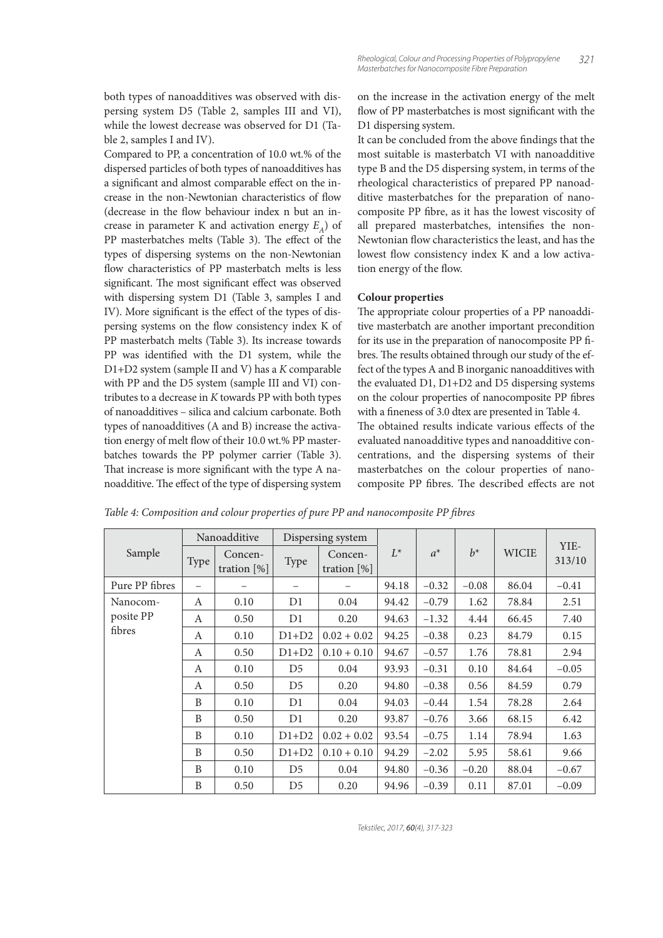both types of nanoadditives was observed with dispersing system D5 (Table 2, samples III and VI), while the lowest decrease was observed for D1 (Table 2, samples I and IV).

Compared to PP, a concentration of 10.0 wt.% of the dispersed particles of both types of nanoadditives has a significant and almost comparable effect on the increase in the non-Newtonian characteristics of flow (decrease in the flow behaviour index n but an increase in parameter K and activation energy  $E_A$ ) of PP masterbatches melts (Table 3). The effect of the types of dispersing systems on the non-Newtonian flow characteristics of PP masterbatch melts is less significant. The most significant effect was observed with dispersing system D1 (Table 3, samples I and IV). More significant is the effect of the types of dispersing systems on the flow consistency index K of PP masterbatch melts (Table 3). Its increase towards PP was identified with the D1 system, while the D1+D2 system (sample II and V) has a K comparable with PP and the D5 system (sample III and VI) contributes to a decrease in K towards PP with both types of nanoadditives – silica and calcium carbonate. Both types of nanoadditives (A and B) increase the activation energy of melt flow of their 10.0 wt.% PP masterbatches towards the PP polymer carrier (Table 3). That increase is more significant with the type A nanoadditive. The effect of the type of dispersing system

on the increase in the activation energy of the melt flow of PP masterbatches is most significant with the D1 dispersing system.

It can be concluded from the above findings that the most suitable is masterbatch VI with nanoadditive type B and the D5 dispersing system, in terms of the rheological characteristics of prepared PP nanoadditive masterbatches for the preparation of nanocomposite PP fibre, as it has the lowest viscosity of all prepared masterbatches, intensifies the non-Newtonian flow characteristics the least, and has the lowest flow consistency index K and a low activation energy of the flow.

#### **Colour properties**

The appropriate colour properties of a PP nanoadditive masterbatch are another important precondition for its use in the preparation of nanocomposite PP fibres. The results obtained through our study of the effect of the types A and B inorganic nanoadditives with the evaluated D1, D1+D2 and D5 dispersing systems on the colour properties of nanocomposite PP fibres with a fineness of 3.0 dtex are presented in Table 4. The obtained results indicate various effects of the evaluated nanoadditive types and nanoadditive concentrations, and the dispersing systems of their masterbatches on the colour properties of nanocomposite PP fibres. The described effects are not

|                | Nanoadditive             |                           | Dispersing system |                           |       |         |         |              | YIE-    |
|----------------|--------------------------|---------------------------|-------------------|---------------------------|-------|---------|---------|--------------|---------|
| Sample         | Type                     | Concen-<br>tration $[\%]$ | Type              | Concen-<br>tration $[\%]$ | $L^*$ | $a^*$   | $b^*$   | <b>WICIE</b> | 313/10  |
| Pure PP fibres | $\overline{\phantom{0}}$ |                           |                   |                           | 94.18 | $-0.32$ | $-0.08$ | 86.04        | $-0.41$ |
| Nanocom-       | A                        | 0.10                      | D1                | 0.04                      | 94.42 | $-0.79$ | 1.62    | 78.84        | 2.51    |
| posite PP      | A                        | 0.50                      | D1                | 0.20                      | 94.63 | $-1.32$ | 4.44    | 66.45        | 7.40    |
| fibres         | A                        | 0.10                      | $D1+D2$           | $0.02 + 0.02$             | 94.25 | $-0.38$ | 0.23    | 84.79        | 0.15    |
|                | A                        | 0.50                      | $D1+D2$           | $0.10 + 0.10$             | 94.67 | $-0.57$ | 1.76    | 78.81        | 2.94    |
|                | A                        | 0.10                      | D <sub>5</sub>    | 0.04                      | 93.93 | $-0.31$ | 0.10    | 84.64        | $-0.05$ |
|                | A                        | 0.50                      | D <sub>5</sub>    | 0.20                      | 94.80 | $-0.38$ | 0.56    | 84.59        | 0.79    |
|                | B                        | 0.10                      | D1                | 0.04                      | 94.03 | $-0.44$ | 1.54    | 78.28        | 2.64    |
|                | B                        | 0.50                      | D1                | 0.20                      | 93.87 | $-0.76$ | 3.66    | 68.15        | 6.42    |
|                | B                        | 0.10                      | $D1+D2$           | $0.02 + 0.02$             | 93.54 | $-0.75$ | 1.14    | 78.94        | 1.63    |
|                | B                        | 0.50                      | $D1+D2$           | $0.10 + 0.10$             | 94.29 | $-2.02$ | 5.95    | 58.61        | 9.66    |
|                | B                        | 0.10                      | D <sub>5</sub>    | 0.04                      | 94.80 | $-0.36$ | $-0.20$ | 88.04        | $-0.67$ |
|                | B                        | 0.50                      | D <sub>5</sub>    | 0.20                      | 94.96 | $-0.39$ | 0.11    | 87.01        | $-0.09$ |

Table 4: Composition and colour properties of pure PP and nanocomposite PP fibres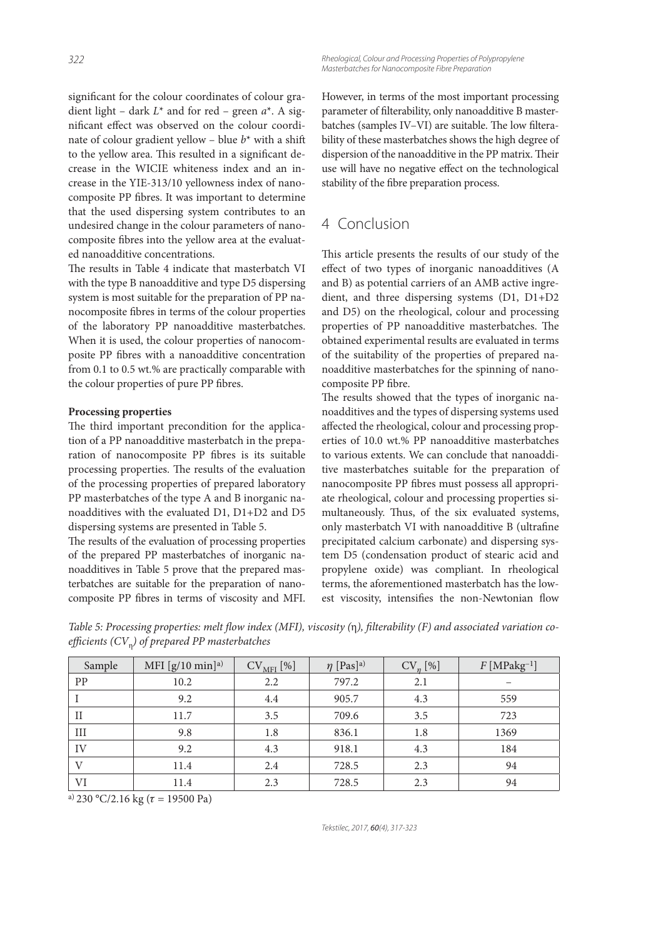*322 Rheological, Colour and Processing Properties of Polypropylene Masterbatches for Nanocomposite Fibre Preparation*

significant for the colour coordinates of colour gradient light – dark  $L^*$  and for red – green  $a^*$ . A significant effect was observed on the colour coordinate of colour gradient yellow - blue  $b^*$  with a shift to the yellow area. This resulted in a significant decrease in the WICIE whiteness index and an increase in the YIE-313/10 yellowness index of nanocomposite PP fibres. It was important to determine that the used dispersing system contributes to an undesired change in the colour parameters of nanocomposite fibres into the yellow area at the evaluated nanoadditive concentrations.

The results in Table 4 indicate that masterbatch VI with the type B nanoadditive and type D5 dispersing system is most suitable for the preparation of PP nanocomposite bres in terms of the colour properties of the laboratory PP nanoadditive masterbatches. When it is used, the colour properties of nanocomposite PP fibres with a nanoadditive concentration from 0.1 to 0.5 wt.% are practically comparable with the colour properties of pure PP fibres.

#### **Processing properties**

The third important precondition for the application of a PP nanoadditive masterbatch in the preparation of nanocomposite PP fibres is its suitable processing properties. The results of the evaluation of the processing properties of prepared laboratory PP masterbatches of the type A and B inorganic nanoadditives with the evaluated D1, D1+D2 and D5 dispersing systems are presented in Table 5.

The results of the evaluation of processing properties of the prepared PP masterbatches of inorganic nanoadditives in Table 5 prove that the prepared masterbatches are suitable for the preparation of nanocomposite PP fibres in terms of viscosity and MFI. However, in terms of the most important processing parameter of filterability, only nanoadditive B masterbatches (samples IV-VI) are suitable. The low filterability of these masterbatches shows the high degree of dispersion of the nanoadditive in the PP matrix. Their use will have no negative effect on the technological stability of the fibre preparation process.

## 4 Conclusion

This article presents the results of our study of the effect of two types of inorganic nanoadditives (A and B) as potential carriers of an AMB active ingredient, and three dispersing systems (D1, D1+D2 and D5) on the rheological, colour and processing properties of PP nanoadditive masterbatches. The obtained experimental results are evaluated in terms of the suitability of the properties of prepared nanoadditive masterbatches for the spinning of nanocomposite PP fibre.

The results showed that the types of inorganic nanoadditives and the types of dispersing systems used affected the rheological, colour and processing properties of 10.0 wt.% PP nanoadditive masterbatches to various extents. We can conclude that nanoadditive masterbatches suitable for the preparation of nanocomposite PP fibres must possess all appropriate rheological, colour and processing properties simultaneously. Thus, of the six evaluated systems, only masterbatch VI with nanoadditive B (ultrafine precipitated calcium carbonate) and dispersing system D5 (condensation product of stearic acid and propylene oxide) was compliant. In rheological terms, the aforementioned masterbatch has the lowest viscosity, intensifies the non-Newtonian flow

Table 5: Processing properties: melt flow index (MFI), viscosity (η), filterability (F) and associated variation coefficients (CV<sub>ŋ</sub>) of prepared PP masterbatches

| Sample       | MFI $[g/10 \text{ min}]$ a) | $CV_{MFI}$ [%] | $\eta$ [Pas] <sup>a)</sup> | $CV_n$ [%] | $F$ [MPakg <sup>-1</sup> ] |
|--------------|-----------------------------|----------------|----------------------------|------------|----------------------------|
| PP           | 10.2                        | 2.2            | 797.2                      | 2.1        |                            |
|              | 9.2                         | 4.4            | 905.7                      | 4.3        | 559                        |
| $\rm II$     | 11.7                        | 3.5            | 709.6                      | 3.5        | 723                        |
| III          | 9.8                         | 1.8            | 836.1                      | 1.8        | 1369                       |
| IV           | 9.2                         | 4.3            | 918.1                      | 4.3        | 184                        |
| $\mathbf{V}$ | 11.4                        | 2.4            | 728.5                      | 2.3        | 94                         |
| VI           | 11.4                        | 2.3            | 728.5                      | 2.3        | 94                         |

a) 230 °C/2.16 kg ( $\tau$  = 19500 Pa)